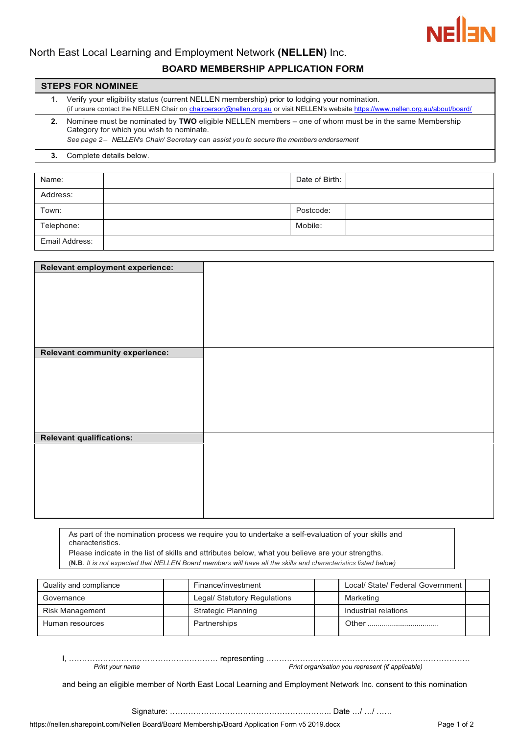

# North East Local Learning and Employment Network **(NELLEN)** Inc.

## **BOARD MEMBERSHIP APPLICATION FORM**

#### **STEPS FOR NOMINEE**

**1.** Verify your eligibility status (current NELLEN membership) prior to lodging your nomination. (if unsure contact the NELLEN Chair on [chairperson@nellen.org.au](mailto:chairperson@nellen.org.au) [or v](mailto:chairperson@nellen.orq.auor)isit NELLEN's websit[e https://www.nellen.org.au/about/board/](https://www.nellen.org.au/about/board/) **2.** Nominee must be nominated by **TWO** eligible NELLEN members – one of whom must be in the same Membership Category for which you wish to nominate.

*See page 2 – NELLEN's Chair/ Secretary can assist you to secure the members endorsement*

#### **3.** Complete details below.

| Name:          | Date of Birth: |
|----------------|----------------|
| Address:       |                |
| Town:          | Postcode:      |
| Telephone:     | Mobile:        |
| Email Address: |                |

| Relevant employment experience:       |  |
|---------------------------------------|--|
|                                       |  |
|                                       |  |
|                                       |  |
|                                       |  |
|                                       |  |
|                                       |  |
|                                       |  |
|                                       |  |
|                                       |  |
| <b>Relevant community experience:</b> |  |
|                                       |  |
|                                       |  |
|                                       |  |
|                                       |  |
|                                       |  |
|                                       |  |
|                                       |  |
|                                       |  |
|                                       |  |
| <b>Relevant qualifications:</b>       |  |
|                                       |  |
|                                       |  |
|                                       |  |
|                                       |  |
|                                       |  |
|                                       |  |
|                                       |  |
|                                       |  |
|                                       |  |

As part of the nomination process we require you to undertake a self-evaluation of your skills and characteristics.

Please indicate in the list of skills and attributes below, what you believe are your strengths.

(**N.B**. *It is not expected that NELLEN Board members will have all the skills and characteristics listed below)*

| Quality and compliance |  | Finance/investment           | Local/ State/ Federal Government I |  |
|------------------------|--|------------------------------|------------------------------------|--|
| Governance             |  | Legal/ Statutory Regulations | Marketing                          |  |
| Risk Management        |  | Strategic Planning           | Industrial relations               |  |
| Human resources        |  | Partnerships                 | Other                              |  |

I, ………………………………………………… representing …………………………………………………………………… *Print organisation you represent (if applicable)* 

and being an eligible member of North East Local Learning and Employment Network Inc. consent to this nomination

Signature: …………………………………………………….. Date …/ …/ ……